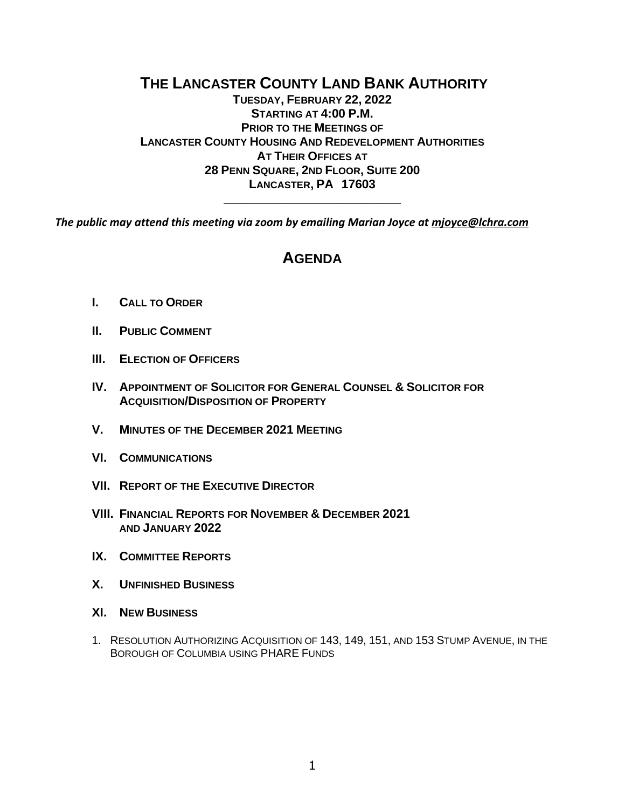## **THE LANCASTER COUNTY LAND BANK AUTHORITY TUESDAY, FEBRUARY 22, 2022 STARTING AT 4:00 P.M. PRIOR TO THE MEETINGS OF LANCASTER COUNTY HOUSING AND REDEVELOPMENT AUTHORITIES AT THEIR OFFICES AT 28 PENN SQUARE, 2ND FLOOR, SUITE 200 LANCASTER, PA 17603**

*The public may attend this meeting via zoom by emailing Marian Joyce a[t mjoyce@lchra.com](mailto:mjoyce@lchra.com)*

# **AGENDA**

**\_\_\_\_\_\_\_\_\_\_\_\_\_\_\_\_\_\_\_\_\_\_\_\_\_\_**

- **I. CALL TO ORDER**
- **II. PUBLIC COMMENT**
- **III. ELECTION OF OFFICERS**
- **IV. APPOINTMENT OF SOLICITOR FOR GENERAL COUNSEL & SOLICITOR FOR ACQUISITION/DISPOSITION OF PROPERTY**
- **V. MINUTES OF THE DECEMBER 2021 MEETING**
- **VI. COMMUNICATIONS**
- **VII. REPORT OF THE EXECUTIVE DIRECTOR**
- **VIII. FINANCIAL REPORTS FOR NOVEMBER & DECEMBER 2021 AND JANUARY 2022**
- **IX. COMMITTEE REPORTS**
- **X. UNFINISHED BUSINESS**
- **XI. NEW BUSINESS**
- 1. RESOLUTION AUTHORIZING ACQUISITION OF 143, 149, 151, AND 153 STUMP AVENUE, IN THE BOROUGH OF COLUMBIA USING PHARE FUNDS